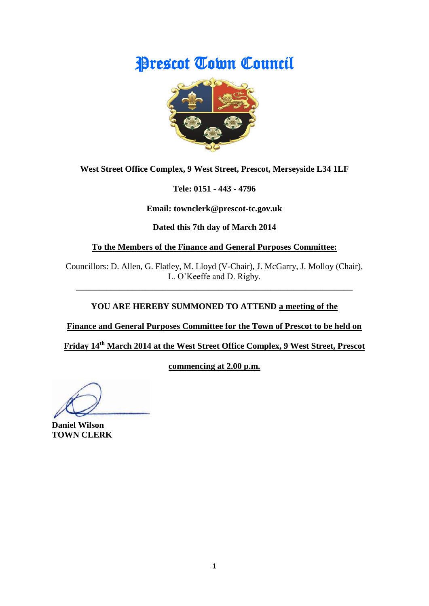# Prescot Town Council



**West Street Office Complex, 9 West Street, Prescot, Merseyside L34 1LF**

**Tele: 0151 - 443 - 4796**

**Email: townclerk@prescot-tc.gov.uk**

**Dated this 7th day of March 2014**

**To the Members of the Finance and General Purposes Committee:**

Councillors: D. Allen, G. Flatley, M. Lloyd (V-Chair), J. McGarry, J. Molloy (Chair), L. O'Keeffe and D. Rigby.

**\_\_\_\_\_\_\_\_\_\_\_\_\_\_\_\_\_\_\_\_\_\_\_\_\_\_\_\_\_\_\_\_\_\_\_\_\_\_\_\_\_\_\_\_\_\_\_\_\_\_\_\_\_\_\_\_\_\_\_\_\_\_\_\_**

# **YOU ARE HEREBY SUMMONED TO ATTEND a meeting of the**

**Finance and General Purposes Committee for the Town of Prescot to be held on** 

**Friday 14th March 2014 at the West Street Office Complex, 9 West Street, Prescot** 

**commencing at 2.00 p.m.**

**Daniel Wilson TOWN CLERK**